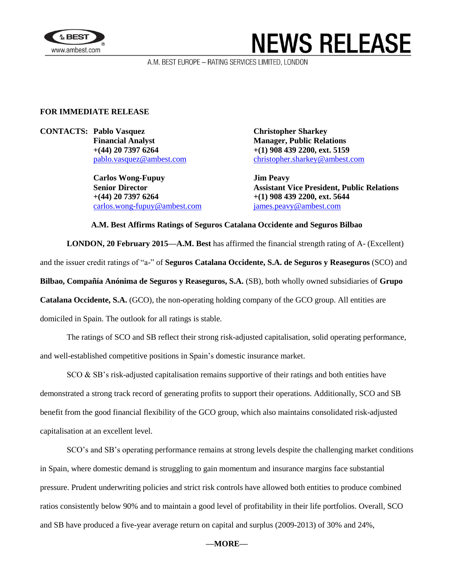

# **NEWS RELEASE**

A.M. BEST EUROPE - RATING SERVICES LIMITED, LONDON

### **FOR IMMEDIATE RELEASE**

**CONTACTS:** Pablo Vasquez **Christopher Sharkey Financial Analyst Manager, Public Relations**

> **Carlos Wong-Fupuy Jim Peavy +(44) 20 7397 6264 +(1) 908 439 2200, ext. 5644** [carlos.wong-fupuy@ambest.com](mailto:carlos.wong-fupuy@ambest.com) [james.peavy@ambest.com](mailto:james.peavy@ambest.com)

**+(44) 20 7397 6264 +(1) 908 439 2200, ext. 5159** [pablo.vasquez@ambest.com](mailto:pablo.vasquez@ambest.com) [christopher.sharkey@ambest.com](mailto:christopher.sharkey@ambest.com)

**Senior Director Assistant Vice President, Public Relations**

#### **A.M. Best Affirms Ratings of Seguros Catalana Occidente and Seguros Bilbao**

**LONDON, 20 February 2015—A.M. Best** has affirmed the financial strength rating of A- (Excellent) and the issuer credit ratings of "a-" of **Seguros Catalana Occidente, S.A. de Seguros y Reaseguros** (SCO) and **Bilbao, Compañía Anónima de Seguros y Reaseguros, S.A.** (SB), both wholly owned subsidiaries of **Grupo Catalana Occidente, S.A.** (GCO), the non-operating holding company of the GCO group. All entities are domiciled in Spain. The outlook for all ratings is stable.

The ratings of SCO and SB reflect their strong risk-adjusted capitalisation, solid operating performance, and well-established competitive positions in Spain's domestic insurance market.

 $SCO & SB$ 's risk-adjusted capitalisation remains supportive of their ratings and both entities have demonstrated a strong track record of generating profits to support their operations. Additionally, SCO and SB benefit from the good financial flexibility of the GCO group, which also maintains consolidated risk-adjusted capitalisation at an excellent level.

SCO's and SB's operating performance remains at strong levels despite the challenging market conditions in Spain, where domestic demand is struggling to gain momentum and insurance margins face substantial pressure. Prudent underwriting policies and strict risk controls have allowed both entities to produce combined ratios consistently below 90% and to maintain a good level of profitability in their life portfolios. Overall, SCO and SB have produced a five-year average return on capital and surplus (2009-2013) of 30% and 24%,

#### **––MORE––**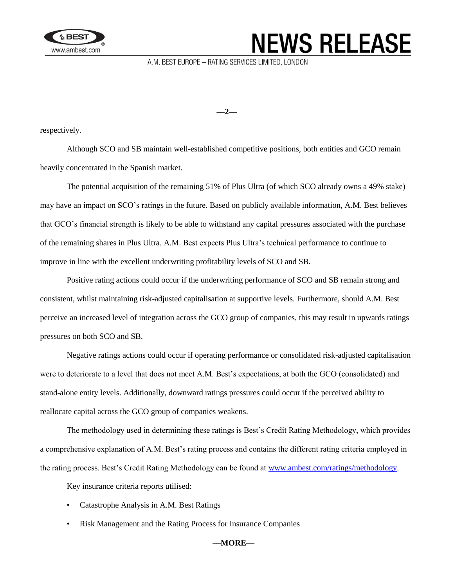

# **NEWS RELEASE**

A.M. BEST EUROPE - RATING SERVICES LIMITED, LONDON

**––2––**

respectively.

Although SCO and SB maintain well-established competitive positions, both entities and GCO remain heavily concentrated in the Spanish market.

The potential acquisition of the remaining 51% of Plus Ultra (of which SCO already owns a 49% stake) may have an impact on SCO's ratings in the future. Based on publicly available information, A.M. Best believes that GCO's financial strength is likely to be able to withstand any capital pressures associated with the purchase of the remaining shares in Plus Ultra. A.M. Best expects Plus Ultra's technical performance to continue to improve in line with the excellent underwriting profitability levels of SCO and SB.

Positive rating actions could occur if the underwriting performance of SCO and SB remain strong and consistent, whilst maintaining risk-adjusted capitalisation at supportive levels. Furthermore, should A.M. Best perceive an increased level of integration across the GCO group of companies, this may result in upwards ratings pressures on both SCO and SB.

Negative ratings actions could occur if operating performance or consolidated risk-adjusted capitalisation were to deteriorate to a level that does not meet A.M. Best's expectations, at both the GCO (consolidated) and stand-alone entity levels. Additionally, downward ratings pressures could occur if the perceived ability to reallocate capital across the GCO group of companies weakens.

The methodology used in determining these ratings is Best's Credit Rating Methodology, which provides a comprehensive explanation of A.M. Best's rating process and contains the different rating criteria employed in the rating process. Best's Credit Rating Methodology can be found at [www.ambest.com/ratings/methodology.](http://www.ambest.com/ratings/methodology)

Key insurance criteria reports utilised:

- Catastrophe Analysis in A.M. Best Ratings
- Risk Management and the Rating Process for Insurance Companies

**––MORE––**